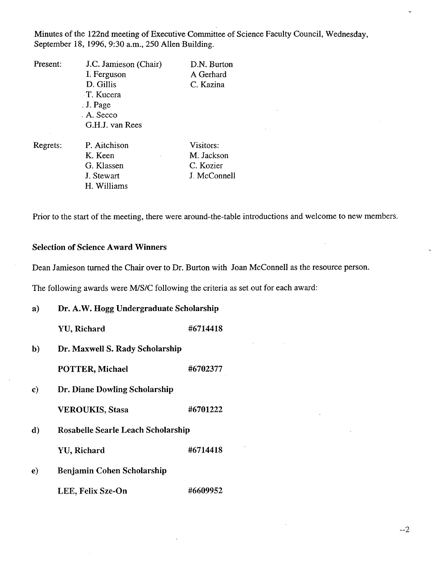Minutes of the 122nd meeting of Executive Committee of Science Faculty Council, Wednesday, September 18, 1996, 9:30 a.m., *250* Allen Building.

| Present: | J.C. Jamieson (Chair) | D.N. Burton |
|----------|-----------------------|-------------|
|          | I. Ferguson           | A Gerhard   |
|          | D. Gillis             | C. Kazina   |
|          | T. Kucera             |             |
|          | $\therefore$ J. Page  |             |
|          | . A. Secco            |             |
|          | G.H.J. van Rees       |             |
| Regrets: | P. Aitchison          | Visitors:   |

K. Keen M. Jackson G. Klassen C. Kozier J. Stewart J. McConnell Williams

Prior to the start of the meeting, there were, around-the-table introductions and welcome to new members.

# **Selection of Science Award Winners**

Dean Jamieson turned the Chair over to Dr. Burton with Joan McConnell as the resource person.

The following awards were MIS/C following the criteria as set out for each award:

**Dr. A.W. Hogg Undergraduate Scholarship**   $\mathbf{a}$ 

YU, Richard #6714418

**Dr. Maxwell S. Rady Scholarship**   $\mathbf{b}$ 

**POTTER, Michael #6702377** 

**Dr. Diane Dowling Scholarship**  c)

**VEROUKIS,** Stasa #6701222

Rosabelle Searle Leach Scholarship  $\mathbf{d}$ 

YU, Richard #6714418

 $\bf e)$ Benjamin Cohen Scholarship

LEE, Felix Sze-On #6609952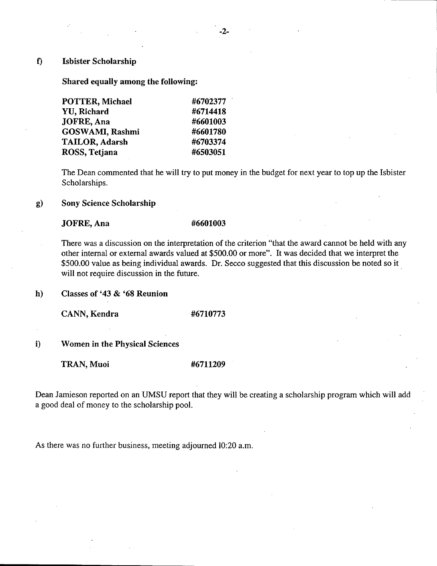### $f$ **Isbister Scholarship**

**Shared equally among the following:** 

| POTTER, Michael       | #6702377 |
|-----------------------|----------|
| <b>YU, Richard</b>    | #6714418 |
| JOFRE, Ana            | #6601003 |
| GOSWAMI, Rashmi       | #6601780 |
| <b>TAILOR, Adarsh</b> | #6703374 |
| ROSS, Tetjana         | #6503051 |

The Dean commented that he will try to put money in the budget for next year to top up the Isbister Scholarships.

### $g)$ **Sony Science Scholarship**

# **JOFRE, Ana** #6601003

There was a discussion on the interpretation of the criterion "that the award cannot be held with any other internal or external awards valued at \$500.00 or more". It was decided that we interpret the \$500.00 value as being individual awards. Dr. Secco suggested that this discussion be noted so it will not require discussion in the future.

**h) Classes of '43** & **'68 Reunion** 

**CANN, Kendra #6710773** 

1) **Women in the Physical Sciences** 

**TRAN,Muoi #6711209** 

Dean Jamieson reported on an UMSU report that they will be creating a scholarship program which will add a good deal of money to the scholarship pooi.

As there was no further business, meeting adjourned 10:20 a.m.